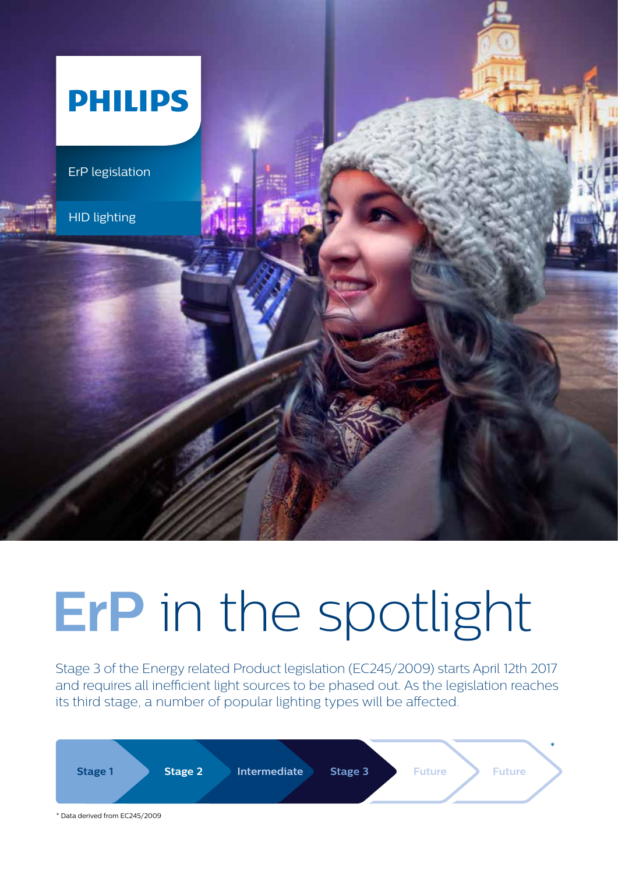

# **ErP** in the spotlight

Stage 3 of the Energy related Product legislation (EC245/2009) starts April 12th 2017 and requires all inefficient light sources to be phased out. As the legislation reaches its third stage, a number of popular lighting types will be affected.

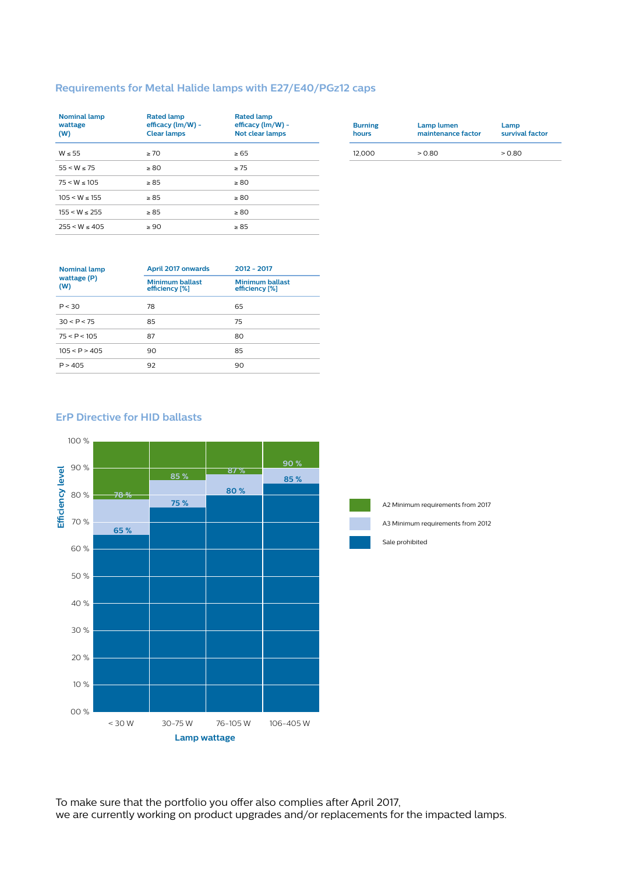#### **Requirements for Metal Halide lamps with E27/E40/PGz12 caps**

| <b>Nominal lamp</b><br>wattage<br>(W) | <b>Rated lamp</b><br>efficacy (lm/W) -<br><b>Clear lamps</b> | <b>Rated lamp</b><br>efficacy (lm/W) -<br><b>Not clear lamps</b> |  |  |
|---------------------------------------|--------------------------------------------------------------|------------------------------------------------------------------|--|--|
| $W \leq 55$                           | > 70                                                         | $\geq 65$                                                        |  |  |
| 55 < W < 75                           | $\geq 80$                                                    | >75                                                              |  |  |
| $75 < W \le 105$                      | $\geq 85$                                                    | $\geq 80$                                                        |  |  |
| 105 < W < 155                         | $\geq 85$                                                    | $\geq 80$                                                        |  |  |
| $155 < W \le 255$                     | $\geq 85$                                                    | $\geq 80$                                                        |  |  |
| 255 < W < 405                         | $\geq 90$                                                    | $\geq 85$                                                        |  |  |

| <b>Burning</b> | Lamp lumen         | Lamp            |  |  |  |  |
|----------------|--------------------|-----------------|--|--|--|--|
| hours          | maintenance factor | survival factor |  |  |  |  |
| 12.000         | > 0.80             | >0.80           |  |  |  |  |

| <b>Nominal lamp</b> | April 2017 onwards                       | $2012 - 2017$                            |  |  |
|---------------------|------------------------------------------|------------------------------------------|--|--|
| wattage (P)<br>(W)  | <b>Minimum ballast</b><br>efficiency [%] | <b>Minimum ballast</b><br>efficiency [%] |  |  |
| P < 30              | 78                                       | 65                                       |  |  |
| 30 < P < 75         | 85                                       | 75                                       |  |  |
| 75 < P < 105        | 87                                       | 80                                       |  |  |
| 105 < P > 405       | 90                                       | 85                                       |  |  |
| P > 405             | 92                                       | 90                                       |  |  |

#### **ErP Directive for HID ballasts**





A2 Minimum requirements from 2017 A3 Minimum requirements from 2012

Sale prohibited

To make sure that the portfolio you offer also complies after April 2017, we are currently working on product upgrades and/or replacements for the impacted lamps.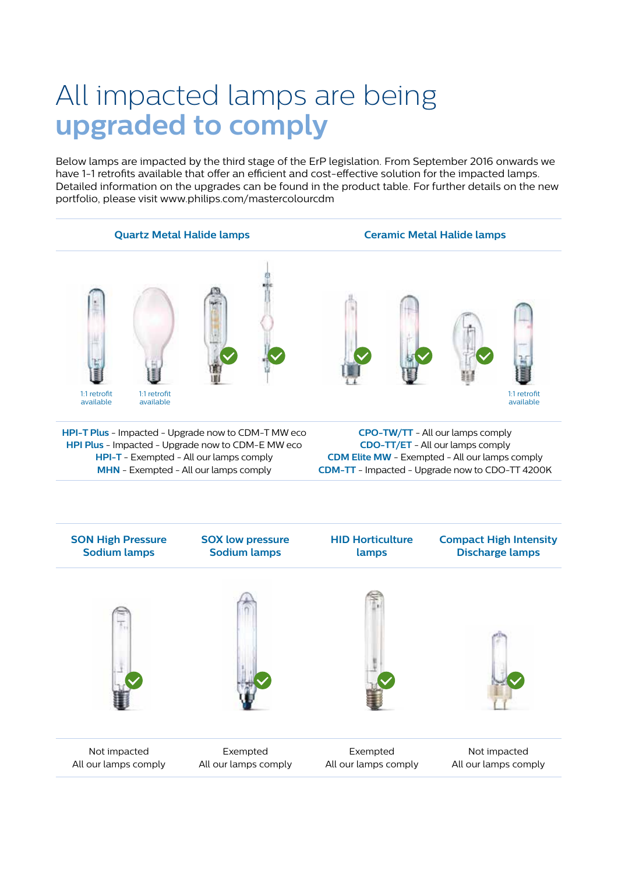# All impacted lamps are being **upgraded to comply**

Below lamps are impacted by the third stage of the ErP legislation. From September 2016 onwards we have 1-1 retrofits available that offer an efficient and cost-effective solution for the impacted lamps. Detailed information on the upgrades can be found in the product table. For further details on the new portfolio, please visit www.philips.com/mastercolourcdm

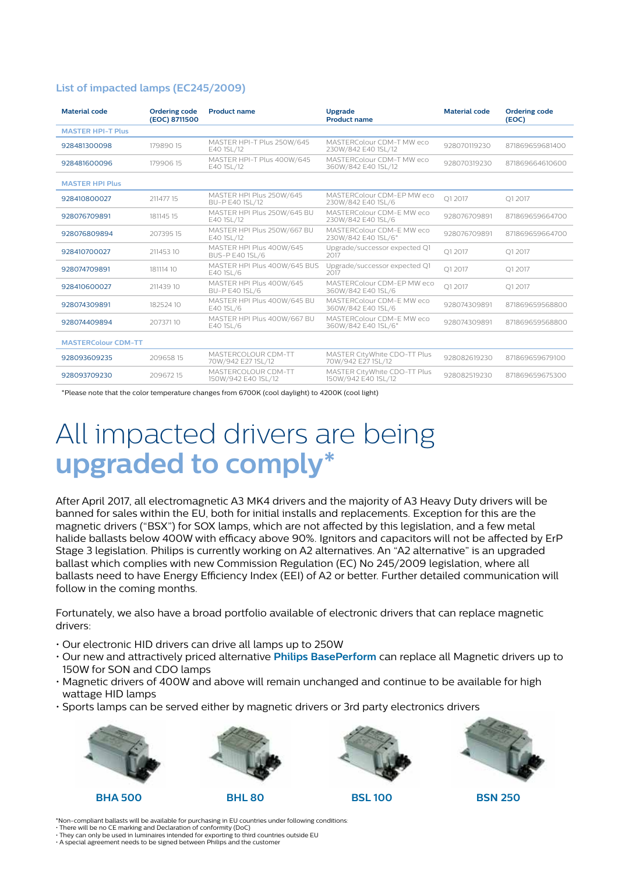### **List of impacted lamps (EC245/2009)**

| <b>Material code</b>       | <b>Ordering code</b><br><b>Product name</b><br>(EOC) 8711500 |                                                    | <b>Upgrade</b><br><b>Product name</b>               | <b>Material code</b> | <b>Ordering code</b><br>(EOC) |  |
|----------------------------|--------------------------------------------------------------|----------------------------------------------------|-----------------------------------------------------|----------------------|-------------------------------|--|
| <b>MASTER HPI-T Plus</b>   |                                                              |                                                    |                                                     |                      |                               |  |
| 17989015<br>928481300098   |                                                              | MASTER HPI-T Plus 250W/645<br>E40 1SL/12           | MASTERColour CDM-T MW eco<br>230W/842 E40 1SL/12    | 928070119230         | 871869659681400               |  |
| 928481600096               | 17990615                                                     | MASTER HPI-T Plus 400W/645<br>E40 1SL/12           | MASTERColour CDM-T MW eco<br>360W/842 E40 1SL/12    | 871869664610600      |                               |  |
| <b>MASTER HPI Plus</b>     |                                                              |                                                    |                                                     |                      |                               |  |
| 928410800027               | 211477 15                                                    | MASTER HPI Plus 250W/645<br>BU-P E40 1SL/12        | MASTERColour CDM-EP MW eco<br>230W/842 E40 1SL/6    | O1 2017              | O1 2017                       |  |
| 928076709891<br>181145 15  |                                                              | MASTER HPI Plus 250W/645 BU<br>E40 1SL/12          | MASTERColour CDM-E MW eco<br>230W/842 E40 1SL/6     | 928076709891         | 871869659664700               |  |
| 928076809894<br>20739515   |                                                              | MASTER HPI Plus 250W/667 BU<br>E40 1SL/12          | MASTERColour CDM-E MW eco<br>230W/842 E40 1SL/6*    | 928076709891         | 871869659664700               |  |
| 928410700027<br>21145310   |                                                              | MASTER HPI Plus 400W/645<br><b>BUS-P E40 1SL/6</b> | Upgrade/successor expected Q1<br>2017               | O1 2017              | O1 2017                       |  |
| 928074709891<br>181114 10  |                                                              | MASTER HPI Plus 400W/645 BUS<br>E40 1SL/6          | Upgrade/successor expected Q1<br>2017               | O1 2017              | O1 2017                       |  |
| 928410600027<br>211439 10  |                                                              | MASTER HPI Plus 400W/645<br>BU-P E40 1SL/6         | MASTERColour CDM-EP MW eco<br>360W/842 E40 1SL/6    | Q1 2017              | O1 2017                       |  |
| 928074309891<br>182524 10  |                                                              | MASTER HPI Plus 400W/645 BU<br>E40 1SL/6           | MASTERColour CDM-F MW eco<br>360W/842 E40 1SL/6     | 928074309891         | 871869659568800               |  |
| 928074409894<br>20737110   |                                                              | MASTER HPI Plus 400W/667 BU<br>E40 1SL/6           | MASTERColour CDM-F MW eco<br>360W/842 E40 1SL/6*    | 928074309891         | 871869659568800               |  |
| <b>MASTERColour CDM-TT</b> |                                                              |                                                    |                                                     |                      |                               |  |
| 928093609235               | 20965815                                                     | MASTERCOLOUR CDM-TT<br>70W/942 E27 1SL/12          | MASTER CityWhite CDO-TT Plus<br>70W/942 E27 1SL/12  | 928082619230         | 871869659679100               |  |
| 928093709230               | 20967215                                                     | MASTERCOLOUR CDM-TT<br>150W/942 E40 1SL/12         | MASTER CityWhite CDO-TT Plus<br>150W/942 E40 1SL/12 | 928082519230         | 871869659675300               |  |

\*Please note that the color temperature changes from 6700K (cool daylight) to 4200K (cool light)

# All impacted drivers are being **upgraded to comply\***

After April 2017, all electromagnetic A3 MK4 drivers and the majority of A3 Heavy Duty drivers will be banned for sales within the EU, both for initial installs and replacements. Exception for this are the magnetic drivers ("BSX") for SOX lamps, which are not affected by this legislation, and a few metal halide ballasts below 400W with efficacy above 90%. Ignitors and capacitors will not be affected by ErP Stage 3 legislation. Philips is currently working on A2 alternatives. An "A2 alternative" is an upgraded ballast which complies with new Commission Regulation (EC) No 245/2009 legislation, where all ballasts need to have Energy Efficiency Index (EEI) of A2 or better. Further detailed communication will follow in the coming months.

Fortunately, we also have a broad portfolio available of electronic drivers that can replace magnetic drivers:

- Our electronic HID drivers can drive all lamps up to 250W
- Our new and attractively priced alternative **Philips BasePerform** can replace all Magnetic drivers up to 150W for SON and CDO lamps
- Magnetic drivers of 400W and above will remain unchanged and continue to be available for high wattage HID lamps
- Sports lamps can be served either by magnetic drivers or 3rd party electronics drivers











\*Non-compliant ballasts will be available for purchasing in EU countries under following conditions:

• There will be no CE marking and Declaration of conformity (DoC)

• They can only be used in luminaires intended for exporting to third countries outside EU • A special agreement needs to be signed between Philips and the customer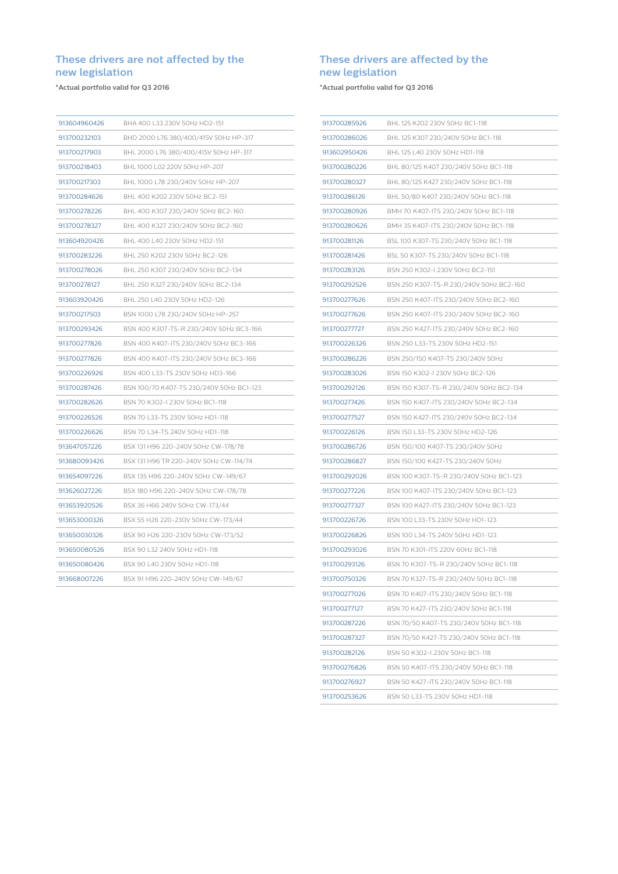### **These drivers are not affected by the new legislation**

**\*Actual portfolio valid for Q3 2016**

| 913604960426 | BHA 400 L33 230V 50Hz HD2-151            |
|--------------|------------------------------------------|
| 913700232103 | BHD 2000 L76 380/400/415V 50Hz HP-317    |
| 913700217903 | BHL 2000 L76 380/400/415V 50Hz HP-317    |
| 913700218403 | BHL 1000 L02 220V 50Hz HP-207            |
| 913700217303 | BHL 1000 L78 230/240V 50Hz HP-207        |
| 913700284626 | BHL 400 K202 230V 50Hz BC2-151           |
| 913700278226 | BHL 400 K307 230/240V 50Hz BC2-160       |
| 913700278327 | BHL 400 K327 230/240V 50Hz BC2-160       |
| 913604920426 | BHL 400 L40 230V 50Hz HD2-151            |
| 913700283226 | BHL 250 K202 230V 50Hz BC2-126           |
| 913700278026 | BHL 250 K307 230/240V 50Hz BC2-134       |
| 913700278127 | BHL 250 K327 230/240V 50Hz BC2-134       |
| 913603920426 | BHL 250 L40 230V 50Hz HD2-126            |
| 913700217503 | BSN 1000 L78 230/240V 50Hz HP-257        |
| 913700293426 | BSN 400 K307-TS-R 230/240V 50Hz BC3-166  |
| 913700277826 | BSN 400 K407-ITS 230/240V 50Hz BC3-166   |
| 913700277826 | BSN 400 K407-ITS 230/240V 50Hz BC3-166   |
| 913700226926 | BSN 400 L33-TS 230V 50Hz HD3-166         |
| 913700287426 | BSN 100/70 K407-TS 230/240V 50Hz BC1-123 |
| 913700282626 | BSN 70 K302-I 230V 50Hz BC1-118          |
| 913700226526 | BSN 70 L33-TS 230V 50Hz HD1-118          |
| 913700226626 | BSN 70 L34-TS 240V 50Hz HD1-118          |
| 913647057226 | BSX 131 H96 220-240V 50Hz CW-178/78      |
| 913680093426 | BSX 131 H96 TR 220-240V 50Hz CW-114/74   |
| 913654097226 | BSX 135 H96 220-240V 50Hz CW-149/67      |
| 913626027226 | BSX 180 H96 220-240V 50Hz CW-178/78      |
| 913653920526 | BSX 36 H66 240V 50Hz CW-173/44           |
| 913653000326 | BSX 55 H26 220-230V 50Hz CW-173/44       |
| 913650030326 | BSX 90 H26 220-230V 50Hz CW-173/52       |
| 913650080526 | BSX 90 L32 240V 50Hz HD1-118             |
| 913650080426 | BSX 90 L40 230V 50Hz HD1-118             |
| 913668007226 | BSX 91 H96 220-240V 50Hz CW-149/67       |

### **These drivers are affected by the new legislation**

**\*Actual portfolio valid for Q3 2016**

| 913700285926 | BHL 125 K202 230V 50Hz BC1-118          |
|--------------|-----------------------------------------|
| 913700286026 | BHL 125 K307 230/240V 50Hz BC1-118      |
| 913602950426 | BHL 125 L40 230V 50Hz HD1-118           |
| 913700280226 | BHL 80/125 K407 230/240V 50Hz BC1-118   |
| 913700280327 | BHL 80/125 K427 230/240V 50Hz BC1-118   |
| 913700286126 | BHL 50/80 K407 230/240V 50Hz BC1-118    |
| 913700280926 | BMH 70 K407-ITS 230/240V 50Hz BC1-118   |
| 913700280626 | BMH 35 K407-ITS 230/240V 50Hz BC1-118   |
| 913700281126 | BSL 100 K307-TS 230/240V 50Hz BC1-118   |
| 913700281426 | BSL 50 K307-TS 230/240V 50Hz BC1-118    |
| 913700283126 | BSN 250 K302-I 230V 50Hz BC2-151        |
| 913700292526 | BSN 250 K307-TS-R 230/240V 50Hz BC2-160 |
| 913700277626 | BSN 250 K407-ITS 230/240V 50Hz BC2-160  |
| 913700277626 | BSN 250 K407-ITS 230/240V 50Hz BC2-160  |
| 913700277727 | BSN 250 K427-ITS 230/240V 50Hz BC2-160  |
| 913700226326 | BSN 250 L33-TS 230V 50Hz HD2-151        |
| 913700286226 | BSN 250/150 K407-TS 230/240V 50Hz       |
| 913700283026 | BSN 150 K302-I 230V 50Hz BC2-126        |
| 913700292126 | BSN 150 K307-TS-R 230/240V 50Hz BC2-134 |
| 913700277426 | BSN 150 K407-ITS 230/240V 50Hz BC2-134  |
| 913700277527 | BSN 150 K427-ITS 230/240V 50Hz BC2-134  |
| 913700226126 | BSN 150 L33-TS 230V 50Hz HD2-126        |
| 913700286726 | BSN 150/100 K407-TS 230/240V 50Hz       |
| 913700286827 | BSN 150/100 K427-TS 230/240V 50Hz       |
| 913700292026 | BSN 100 K307-TS-R 230/240V 50Hz BC1-123 |
| 913700277226 | BSN 100 K407-ITS 230/240V 50Hz BC1-123  |
| 913700277327 | BSN 100 K427-ITS 230/240V 50Hz BC1-123  |
| 913700226726 | BSN 100 L33-TS 230V 50Hz HD1-123        |
| 913700226826 | BSN 100 L34-TS 240V 50Hz HD1-123        |
| 913700293026 | BSN 70 K301-ITS 220V 60Hz BC1-118       |
| 913700293126 | BSN 70 K307-TS-R 230/240V 50Hz BC1-118  |
| 913700750326 | BSN 70 K327-TS-R 230/240V 50Hz BC1-118  |
| 913700277026 | BSN 70 K407-ITS 230/240V 50Hz BC1-118   |
| 913700277127 | BSN 70 K427-ITS 230/240V 50Hz BC1-118   |
| 913700287226 | BSN 70/50 K407-TS 230/240V 50Hz BC1-118 |
| 913700287327 | BSN 70/50 K427-TS 230/240V 50Hz BC1-118 |
| 913700282126 | BSN 50 K302-I 230V 50Hz BC1-118         |
| 913700276826 | BSN 50 K407-ITS 230/240V 50Hz BC1-118   |
| 913700276927 | BSN 50 K427-ITS 230/240V 50Hz BC1-118   |
| 913700253626 | BSN 50 L33-TS 230V 50Hz HD1-118         |